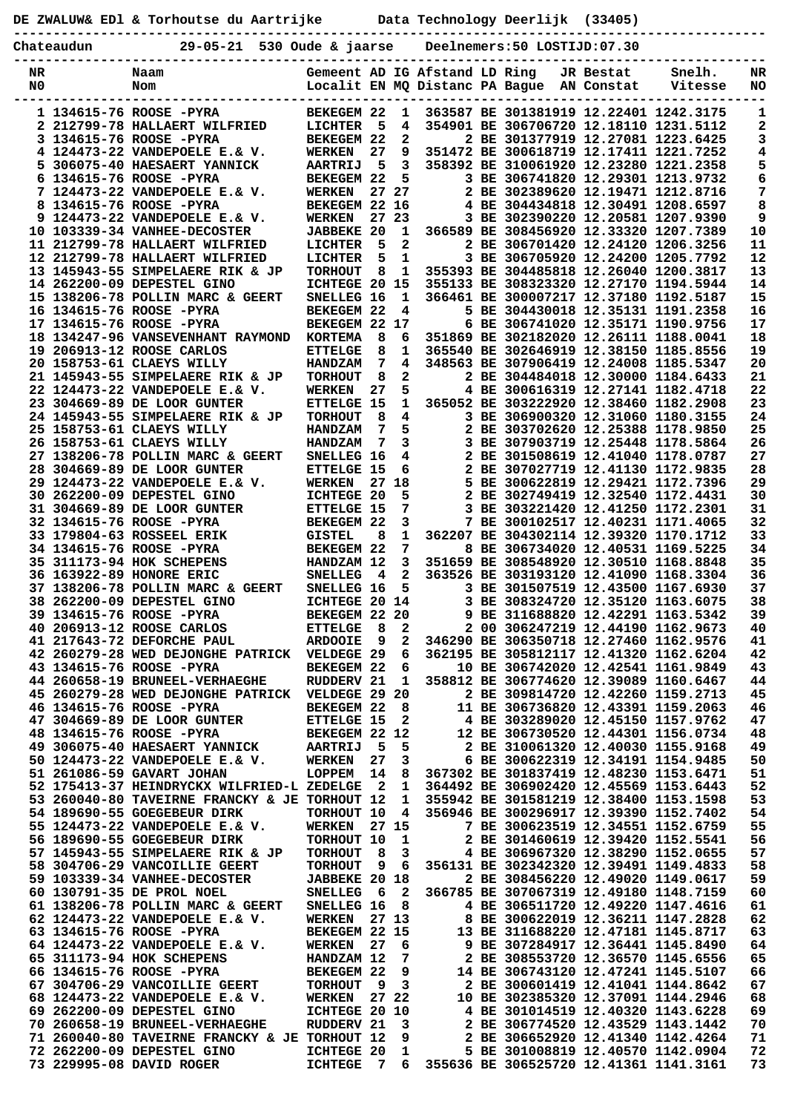|  | DE ZWALUW& EDl & Torhoutse du Aartrijke | Data Technology Deerlijk (33405) |  |
|--|-----------------------------------------|----------------------------------|--|
|  |                                         |                                  |  |

**Chateaudun 29-05-21 530 Oude & jaarse Deelnemers:50 LOSTIJD:07.30**

| NR | Naam                                            | Gemeent AD IG Afstand LD Ring |                         |                     |                                |                                        | JR Bestat  | Snelh.  | NR |
|----|-------------------------------------------------|-------------------------------|-------------------------|---------------------|--------------------------------|----------------------------------------|------------|---------|----|
| N0 | Nom                                             |                               |                         |                     | Localit EN MQ Distanc PA Bague |                                        | AN Constat | Vitesse | NO |
|    |                                                 |                               |                         |                     |                                |                                        |            |         |    |
|    | 1 134615-76 ROOSE -PYRA                         | BEKEGEM 22                    |                         | 1                   |                                | 363587 BE 301381919 12.22401 1242.3175 |            |         | 1  |
|    | 2 212799-78 HALLAERT WILFRIED                   | LICHTER                       | 5                       | 4                   |                                | 354901 BE 306706720 12.18110 1231.5112 |            |         | 2  |
|    | 3 134615-76 ROOSE -PYRA                         | <b>BEKEGEM 22</b>             |                         | $\mathbf{2}$        |                                | 2 BE 301377919 12.27081 1223.6425      |            |         | 3  |
|    | 4 124473-22 VANDEPOELE E.& V.                   | <b>WERKEN</b>                 | 27                      | 9                   |                                | 351472 BE 300618719 12.17411 1221.7252 |            |         | 4  |
|    | 5 306075-40 HAESAERT YANNICK                    | <b>AARTRIJ</b>                | 5                       | 3                   |                                | 358392 BE 310061920 12.23280 1221.2358 |            |         | 5  |
|    | 6 134615-76 ROOSE -PYRA                         | BEKEGEM 22                    |                         | 5.                  |                                | 3 BE 306741820 12.29301 1213.9732      |            |         | 6  |
|    | 7 124473-22 VANDEPOELE E.& V.                   | <b>WERKEN</b>                 |                         | 27 27               |                                | 2 BE 302389620 12.19471 1212.8716      |            |         | 7  |
|    | 8 134615-76 ROOSE -PYRA                         | BEKEGEM 22 16                 |                         |                     |                                | 4 BE 304434818 12.30491 1208.6597      |            |         | 8  |
|    | 9 124473-22 VANDEPOELE E.& V.                   | <b>WERKEN</b>                 |                         | 27 23               |                                | 3 BE 302390220 12.20581 1207.9390      |            |         | 9  |
|    | 10 103339-34 VANHEE-DECOSTER                    | <b>JABBEKE 20</b>             |                         | 1                   |                                | 366589 BE 308456920 12.33320 1207.7389 |            |         | 10 |
|    | 11 212799-78 HALLAERT WILFRIED                  | LICHTER                       | 5                       | 2                   |                                | 2 BE 306701420 12.24120 1206.3256      |            |         | 11 |
|    | 12 212799-78 HALLAERT WILFRIED                  | LICHTER                       | 5                       | 1                   |                                | 3 BE 306705920 12.24200 1205.7792      |            |         | 12 |
|    | 13 145943-55 SIMPELAERE RIK & JP                | <b>TORHOUT</b>                | 8                       | 1                   |                                | 355393 BE 304485818 12.26040 1200.3817 |            |         | 13 |
|    | 14 262200-09 DEPESTEL GINO                      | ICHTEGE 20 15                 |                         |                     |                                | 355133 BE 308323320 12.27170 1194.5944 |            |         | 14 |
|    | 15 138206-78 POLLIN MARC & GEERT                |                               |                         | 1                   |                                | 366461 BE 300007217 12.37180 1192.5187 |            |         | 15 |
|    |                                                 | SNELLEG 16                    |                         |                     |                                |                                        |            |         |    |
|    | 16 134615-76 ROOSE -PYRA                        | BEKEGEM 22                    |                         | 4                   |                                | 5 BE 304430018 12.35131 1191.2358      |            |         | 16 |
|    | 17 134615-76 ROOSE -PYRA                        | BEKEGEM 22 17                 |                         |                     |                                | 6 BE 306741020 12.35171 1190.9756      |            |         | 17 |
|    | 18 134247-96 VANSEVENHANT RAYMOND               | <b>KORTEMA</b>                | 8                       | 6                   |                                | 351869 BE 302182020 12.26111 1188.0041 |            |         | 18 |
|    | 19 206913-12 ROOSE CARLOS                       | <b>ETTELGE</b>                | 8                       | 1                   |                                | 365540 BE 302646919 12.38150 1185.8556 |            |         | 19 |
|    | 20 158753-61 CLAEYS WILLY                       | <b>HANDZAM</b>                | 7                       | 4                   |                                | 348563 BE 307906419 12.24008 1185.5347 |            |         | 20 |
|    | 21 145943-55 SIMPELAERE RIK & JP                | <b>TORHOUT</b>                | 8                       | $\mathbf{2}$        |                                | 2 BE 304484018 12.30000 1184.6433      |            |         | 21 |
|    | 22 124473-22 VANDEPOELE E.& V.                  | <b>WERKEN</b>                 | 27                      | 5                   |                                | 4 BE 300616319 12.27141 1182.4718      |            |         | 22 |
|    | 23 304669-89 DE LOOR GUNTER                     | <b>ETTELGE 15</b>             |                         | $\mathbf{1}$        |                                | 365052 BE 303222920 12.38460 1182.2908 |            |         | 23 |
|    | 24 145943-55 SIMPELAERE RIK & JP                | <b>TORHOUT</b>                | 8                       | 4                   |                                | 3 BE 306900320 12.31060 1180.3155      |            |         | 24 |
|    | 25 158753-61 CLAEYS WILLY                       | <b>HANDZAM</b>                | 7                       | 5                   |                                | 2 BE 303702620 12.25388 1178.9850      |            |         | 25 |
|    | 26 158753-61 CLAEYS WILLY                       | <b>HANDZAM</b>                | 7                       | 3                   |                                | 3 BE 307903719 12.25448 1178.5864      |            |         | 26 |
|    | 27 138206-78 POLLIN MARC & GEERT                | SNELLEG 16                    |                         | 4                   |                                | 2 BE 301508619 12.41040 1178.0787      |            |         | 27 |
|    | 28 304669-89 DE LOOR GUNTER                     | <b>ETTELGE 15</b>             |                         | 6                   |                                | 2 BE 307027719 12.41130 1172.9835      |            |         | 28 |
|    | 29 124473-22 VANDEPOELE E.& V.                  | <b>WERKEN</b>                 | 27                      | 18                  |                                | 5 BE 300622819 12.29421 1172.7396      |            |         | 29 |
|    | 30 262200-09 DEPESTEL GINO                      | <b>ICHTEGE 20</b>             |                         | 5                   |                                | 2 BE 302749419 12.32540 1172.4431      |            |         | 30 |
|    | 31 304669-89 DE LOOR GUNTER                     | <b>ETTELGE 15</b>             |                         | 7                   |                                | 3 BE 303221420 12.41250 1172.2301      |            |         | 31 |
|    | 32 134615-76 ROOSE -PYRA                        | BEKEGEM 22                    |                         | 3                   |                                | 7 BE 300102517 12.40231 1171.4065      |            |         | 32 |
|    |                                                 |                               | 8                       | 1                   |                                | 362207 BE 304302114 12.39320 1170.1712 |            |         | 33 |
|    | 33 179804-63 ROSSEEL ERIK                       | <b>GISTEL</b>                 |                         |                     |                                |                                        |            |         |    |
|    | 34 134615-76 ROOSE -PYRA                        | BEKEGEM 22                    |                         | 7                   |                                | 8 BE 306734020 12.40531 1169.5225      |            |         | 34 |
|    | 35 311173-94 HOK SCHEPENS                       | HANDZAM 12                    |                         | 3                   |                                | 351659 BE 308548920 12.30510 1168.8848 |            |         | 35 |
|    | 36 163922-89 HONORE ERIC                        | <b>SNELLEG</b>                | 4                       | $\mathbf{2}$        |                                | 363526 BE 303193120 12.41090 1168.3304 |            |         | 36 |
|    | 37 138206-78 POLLIN MARC & GEERT                | SNELLEG 16                    |                         | 5                   |                                | 3 BE 301507519 12.43500 1167.6930      |            |         | 37 |
|    | 38 262200-09 DEPESTEL GINO                      | ICHTEGE 20 14                 |                         |                     |                                | 3 BE 308324720 12.35120 1163.6075      |            |         | 38 |
|    | 39 134615-76 ROOSE -PYRA                        | BEKEGEM 22 20                 |                         |                     |                                | 9 BE 311688820 12.42291 1163.5342      |            |         | 39 |
|    | 40 206913-12 ROOSE CARLOS                       | <b>ETTELGE</b>                | 8                       | 2                   |                                | 2 00 306247219 12.44190 1162.9673      |            |         | 40 |
|    | <b>41 217643-72 DEFORCHE PAUL</b>               | <b>ARDOOIE</b>                | 9                       | 2                   |                                | 346290 BE 306350718 12.27460 1162.9576 |            |         | 41 |
|    | 42 260279-28 WED DEJONGHE PATRICK               | VELDEGE 29                    |                         | 6                   |                                | 362195 BE 305812117 12.41320 1162.6204 |            |         | 42 |
|    | 43 134615-76 ROOSE -PYRA                        | BEKEGEM 22                    |                         | 6                   |                                | 10 BE 306742020 12.42541 1161.9849     |            |         | 43 |
|    | 44 260658-19 BRUNEEL-VERHAEGHE                  | RUDDERV 21                    |                         | 1                   |                                | 358812 BE 306774620 12.39089 1160.6467 |            |         | 44 |
|    | 45 260279-28 WED DEJONGHE PATRICK VELDEGE 29 20 |                               |                         |                     |                                | 2 BE 309814720 12.42260 1159.2713      |            |         | 45 |
|    | 46 134615-76 ROOSE -PYRA                        | BEKEGEM 22                    |                         | 8                   |                                | 11 BE 306736820 12.43391 1159.2063     |            |         | 46 |
|    | 47 304669-89 DE LOOR GUNTER                     | <b>ETTELGE 15</b>             |                         | $\mathbf{2}$        |                                | 4 BE 303289020 12.45150 1157.9762      |            |         | 47 |
|    | 48 134615-76 ROOSE -PYRA                        | BEKEGEM 22 12                 |                         |                     |                                | 12 BE 306730520 12.44301 1156.0734     |            |         | 48 |
|    | 49 306075-40 HAESAERT YANNICK                   | <b>AARTRIJ</b>                | - 5                     | 5                   |                                | 2 BE 310061320 12.40030 1155.9168      |            |         | 49 |
|    | 50 124473-22 VANDEPOELE E.& V.                  | <b>WERKEN</b>                 | 27                      | 3                   |                                | 6 BE 300622319 12.34191 1154.9485      |            |         | 50 |
|    | 51 261086-59 GAVART JOHAN                       | LOPPEM                        | 14                      | 8                   |                                | 367302 BE 301837419 12.48230 1153.6471 |            |         | 51 |
|    | 52 175413-37 HEINDRYCKX WILFRIED-L ZEDELGE      |                               | $\overline{\mathbf{2}}$ | 1                   |                                | 364492 BE 306902420 12.45569 1153.6443 |            |         | 52 |
|    | 53 260040-80 TAVEIRNE FRANCKY & JE TORHOUT 12   |                               |                         |                     |                                | 355942 BE 301581219 12.38400 1153.1598 |            |         | 53 |
|    | 54 189690-55 GOEGEBEUR DIRK                     |                               |                         | 1<br>$\overline{4}$ |                                |                                        |            |         | 54 |
|    |                                                 | TORHOUT 10                    |                         |                     |                                | 356946 BE 300296917 12.39390 1152.7402 |            |         |    |
|    | 55 124473-22 VANDEPOELE E.& V.                  | <b>WERKEN</b>                 |                         | 27 15               |                                | 7 BE 300623519 12.34551 1152.6759      |            |         | 55 |
|    | 56 189690-55 GOEGEBEUR DIRK                     | TORHOUT 10                    |                         | 1                   |                                | 2 BE 301460619 12.39420 1152.5541      |            |         | 56 |
|    | 57 145943-55 SIMPELAERE RIK & JP                | <b>TORHOUT</b>                | 8                       | 3                   |                                | 4 BE 306967320 12.38290 1152.0655      |            |         | 57 |
|    | 58 304706-29 VANCOILLIE GEERT                   | <b>TORHOUT</b>                | 9                       | 6                   |                                | 356131 BE 302342320 12.39491 1149.4833 |            |         | 58 |
|    | 59 103339-34 VANHEE-DECOSTER                    | <b>JABBEKE 20 18</b>          |                         |                     |                                | 2 BE 308456220 12.49020 1149.0617      |            |         | 59 |
|    | 60 130791-35 DE PROL NOEL                       | <b>SNELLEG</b>                | - 6                     | $\mathbf{2}$        |                                | 366785 BE 307067319 12.49180 1148.7159 |            |         | 60 |
|    | 61 138206-78 POLLIN MARC & GEERT                | SNELLEG 16                    |                         | 8                   |                                | 4 BE 306511720 12.49220 1147.4616      |            |         | 61 |
|    | 62 124473-22 VANDEPOELE E.& V.                  | <b>WERKEN</b>                 |                         | 27 13               |                                | 8 BE 300622019 12.36211 1147.2828      |            |         | 62 |
|    | 63 134615-76 ROOSE -PYRA                        | BEKEGEM 22 15                 |                         |                     |                                | 13 BE 311688220 12.47181 1145.8717     |            |         | 63 |
|    | 64 124473-22 VANDEPOELE E.& V.                  | <b>WERKEN</b>                 | 27                      | 6                   |                                | 9 BE 307284917 12.36441 1145.8490      |            |         | 64 |
|    | 65 311173-94 HOK SCHEPENS                       | HANDZAM 12                    |                         | 7                   |                                | 2 BE 308553720 12.36570 1145.6556      |            |         | 65 |
|    | 66 134615-76 ROOSE -PYRA                        | BEKEGEM 22                    |                         | 9                   |                                | 14 BE 306743120 12.47241 1145.5107     |            |         | 66 |
|    | 67 304706-29 VANCOILLIE GEERT                   | <b>TORHOUT</b>                | 9                       | 3                   |                                | 2 BE 300601419 12.41041 1144.8642      |            |         | 67 |
|    | 68 124473-22 VANDEPOELE E.& V.                  | <b>WERKEN</b>                 |                         | 27 22               |                                | 10 BE 302385320 12.37091 1144.2946     |            |         | 68 |
|    | 69 262200-09 DEPESTEL GINO                      | ICHTEGE 20 10                 |                         |                     |                                | 4 BE 301014519 12.40320 1143.6228      |            |         | 69 |
|    | 70 260658-19 BRUNEEL-VERHAEGHE                  | RUDDERV 21                    |                         | 3                   |                                | 2 BE 306774520 12.43529 1143.1442      |            |         | 70 |
|    | 71 260040-80 TAVEIRNE FRANCKY & JE TORHOUT 12   |                               |                         | 9                   |                                | 2 BE 306652920 12.41340 1142.4264      |            |         | 71 |
|    | 72 262200-09 DEPESTEL GINO                      | ICHTEGE 20                    |                         | 1                   |                                | 5 BE 301008819 12.40570 1142.0904      |            |         | 72 |
|    | 73 229995-08 DAVID ROGER                        | <b>ICHTEGE</b>                | - 7                     | 6                   |                                | 355636 BE 306525720 12.41361 1141.3161 |            |         | 73 |
|    |                                                 |                               |                         |                     |                                |                                        |            |         |    |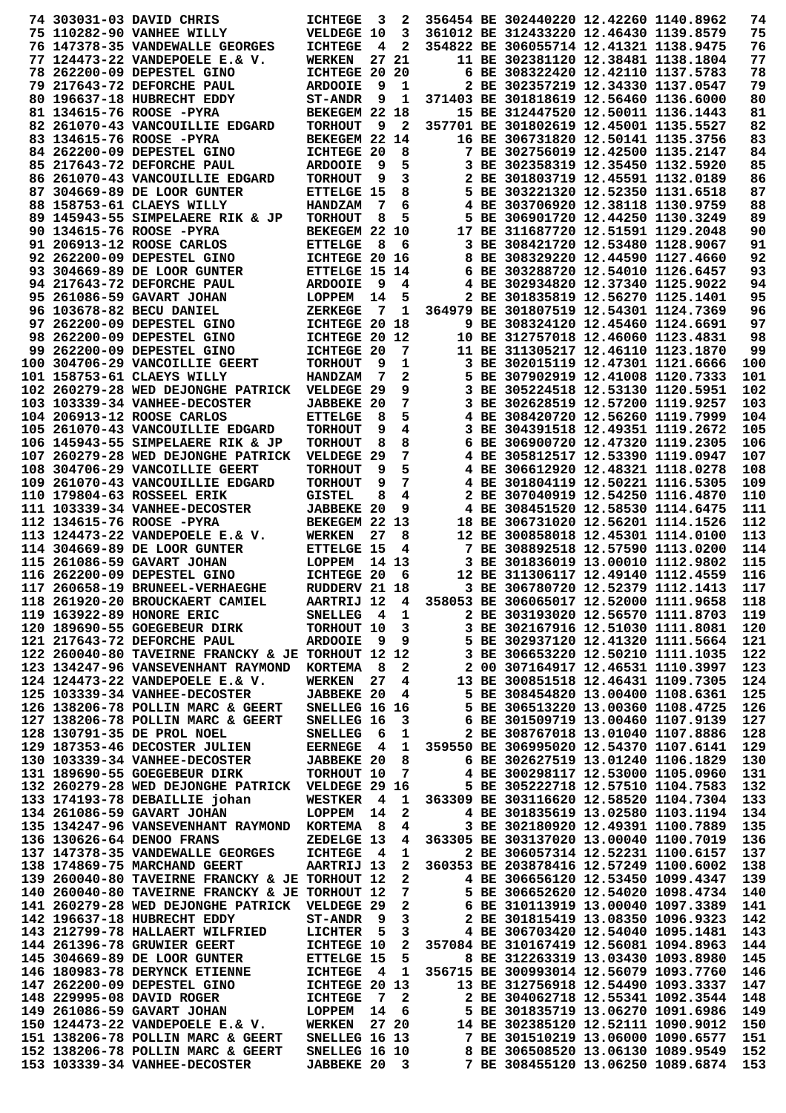|  | 74 303031-03 DAVID CHRIS                                               | <b>ICHTEGE</b>                      | $\overline{\mathbf{3}}$ | 2              | 356454 BE 302440220 12.42260 1140.8962                                        |  | 74         |
|--|------------------------------------------------------------------------|-------------------------------------|-------------------------|----------------|-------------------------------------------------------------------------------|--|------------|
|  | 75 110282-90 VANHEE WILLY                                              | VELDEGE 10                          |                         | 3              | 361012 BE 312433220 12.46430 1139.8579                                        |  | 75         |
|  | 76 147378-35 VANDEWALLE GEORGES                                        | <b>ICHTEGE</b>                      | 4                       | 2              | 354822 BE 306055714 12.41321 1138.9475                                        |  | 76         |
|  | 77 124473-22 VANDEPOELE E.& V.                                         | <b>WERKEN</b>                       |                         | 27 21          | 11 BE 302381120 12.38481 1138.1804                                            |  | 77         |
|  | 78 262200-09 DEPESTEL GINO                                             | ICHTEGE 20 20                       |                         |                | 6 BE 308322420 12.42110 1137.5783                                             |  | 78         |
|  | 79 217643-72 DEFORCHE PAUL                                             | <b>ARDOOIE</b>                      | - 9                     | 1              | 2 BE 302357219 12.34330 1137.0547                                             |  | 79         |
|  | 80 196637-18 HUBRECHT EDDY                                             | <b>ST-ANDR</b>                      | 9                       | 1              | 371403 BE 301818619 12.56460 1136.6000                                        |  | 80         |
|  | 81 134615-76 ROOSE -PYRA                                               | BEKEGEM 22 18                       |                         |                | 15 BE 312447520 12.50011 1136.1443                                            |  | 81         |
|  | 82 261070-43 VANCOUILLIE EDGARD                                        | <b>TORHOUT</b>                      | 9                       | $\mathbf{2}$   | 357701 BE 301802619 12.45001 1135.5527                                        |  | 82         |
|  | 83 134615-76 ROOSE -PYRA                                               | BEKEGEM 22 14                       |                         |                | 16 BE 306731820 12.50141 1135.3756                                            |  | 83         |
|  | 84 262200-09 DEPESTEL GINO                                             | <b>ICHTEGE 20</b>                   |                         | 8              | 7 BE 302756019 12.42500 1135.2147                                             |  | 84         |
|  | 85 217643-72 DEFORCHE PAUL                                             | <b>ARDOOIE</b>                      | 9                       | 5              | 3 BE 302358319 12.35450 1132.5920                                             |  | 85         |
|  | 86 261070-43 VANCOUILLIE EDGARD                                        | <b>TORHOUT</b>                      | 9                       | 3              | 2 BE 301803719 12.45591 1132.0189                                             |  | 86         |
|  | 87 304669-89 DE LOOR GUNTER<br>88 158753-61 CLAEYS WILLY               | <b>ETTELGE 15</b><br><b>HANDZAM</b> | 7                       | 8<br>6         | 5 BE 303221320 12.52350 1131.6518<br>4 BE 303706920 12.38118 1130.9759        |  | 87<br>88   |
|  | 89 145943-55 SIMPELAERE RIK & JP                                       | <b>TORHOUT</b>                      | 8                       | 5              | 5 BE 306901720 12.44250 1130.3249                                             |  | 89         |
|  | 90 134615-76 ROOSE -PYRA                                               | BEKEGEM 22 10                       |                         |                | 17 BE 311687720 12.51591 1129.2048                                            |  | 90         |
|  | 91 206913-12 ROOSE CARLOS                                              | <b>ETTELGE</b>                      | - 8                     | 6              | 3 BE 308421720 12.53480 1128.9067                                             |  | 91         |
|  | 92 262200-09 DEPESTEL GINO                                             | ICHTEGE 20 16                       |                         |                | 8 BE 308329220 12.44590 1127.4660                                             |  | 92         |
|  | 93 304669-89 DE LOOR GUNTER                                            | <b>ETTELGE 15 14</b>                |                         |                | 6 BE 303288720 12.54010 1126.6457                                             |  | 93         |
|  | 94 217643-72 DEFORCHE PAUL                                             | <b>ARDOOIE</b>                      | 9                       | 4              | 4 BE 302934820 12.37340 1125.9022                                             |  | 94         |
|  | 95 261086-59 GAVART JOHAN                                              | LOPPEM                              | 14                      | 5              | 2 BE 301835819 12.56270 1125.1401                                             |  | 95         |
|  | 96 103678-82 BECU DANIEL                                               | <b>ZERKEGE</b>                      | 7                       | 1              | 364979 BE 301807519 12.54301 1124.7369                                        |  | 96         |
|  | 97 262200-09 DEPESTEL GINO                                             | ICHTEGE 20 18                       |                         |                | 9 BE 308324120 12.45460 1124.6691                                             |  | 97         |
|  | 98 262200-09 DEPESTEL GINO                                             | ICHTEGE 20 12                       |                         |                | 10 BE 312757018 12.46060 1123.4831                                            |  | 98         |
|  | 99 262200-09 DEPESTEL GINO                                             | ICHTEGE 20                          |                         | 7              | 11 BE 311305217 12.46110 1123.1870                                            |  | 99         |
|  | 100 304706-29 VANCOILLIE GEERT                                         | <b>TORHOUT</b>                      | 9                       | 1              | 3 BE 302015119 12.47301 1121.6666                                             |  | 100        |
|  | 101 158753-61 CLAEYS WILLY                                             | <b>HANDZAM</b>                      | 7                       | 2              | 5 BE 307902919 12.41008 1120.7333                                             |  | 101        |
|  | 102 260279-28 WED DEJONGHE PATRICK                                     | VELDEGE 29                          |                         | 9              | 3 BE 305224518 12.53130 1120.5951                                             |  | 102        |
|  | 103 103339-34 VANHEE-DECOSTER                                          | <b>JABBEKE 20</b>                   |                         | 7              | 3 BE 302628519 12.57200 1119.9257                                             |  | 103        |
|  | 104 206913-12 ROOSE CARLOS                                             | <b>ETTELGE</b>                      | 8                       | 5              | 4 BE 308420720 12.56260 1119.7999                                             |  | 104        |
|  | 105 261070-43 VANCOUILLIE EDGARD                                       | <b>TORHOUT</b>                      | 9                       | 4              | 3 BE 304391518 12.49351 1119.2672                                             |  | 105        |
|  | 106 145943-55 SIMPELAERE RIK & JP                                      | <b>TORHOUT</b>                      | 8                       | 8              | 6 BE 306900720 12.47320 1119.2305                                             |  | 106        |
|  | 107 260279-28 WED DEJONGHE PATRICK                                     | VELDEGE 29                          |                         | 7              | 4 BE 305812517 12.53390 1119.0947                                             |  | 107        |
|  | <b>108 304706-29 VANCOILLIE GEERT</b>                                  | <b>TORHOUT</b>                      | 9                       | 5              | 4 BE 306612920 12.48321 1118.0278                                             |  | 108        |
|  | 109 261070-43 VANCOUILLIE EDGARD                                       | <b>TORHOUT</b>                      | 9<br>8                  | 7<br>4         | 4 BE 301804119 12.50221 1116.5305<br>2 BE 307040919 12.54250 1116.4870        |  | 109<br>110 |
|  | 110 179804-63 ROSSEEL ERIK<br><b>111 103339-34 VANHEE-DECOSTER</b>     | GISTEL<br><b>JABBEKE 20</b>         |                         | 9              | 4 BE 308451520 12.58530 1114.6475                                             |  | 111        |
|  | 112 134615-76 ROOSE -PYRA                                              | BEKEGEM 22 13                       |                         |                | 18 BE 306731020 12.56201 1114.1526                                            |  | 112        |
|  | 113 124473-22 VANDEPOELE E.& V.                                        | <b>WERKEN</b>                       | 27                      | 8              | 12 BE 300858018 12.45301 1114.0100                                            |  | 113        |
|  | 114 304669-89 DE LOOR GUNTER                                           | <b>ETTELGE 15</b>                   |                         | 4              | 7 BE 308892518 12.57590 1113.0200                                             |  | 114        |
|  | 115 261086-59 GAVART JOHAN                                             | LOPPEM                              |                         | 14 13          | 3 BE 301836019 13.00010 1112.9802                                             |  | 115        |
|  | 116 262200-09 DEPESTEL GINO                                            | ICHTEGE 20                          |                         | 6              | 12 BE 311306117 12.49140 1112.4559                                            |  | 116        |
|  | 117 260658-19 BRUNEEL-VERHAEGHE                                        | RUDDERV 21 18                       |                         |                | 3 BE 306780720 12.52379 1112.1413                                             |  | 117        |
|  | 118 261920-20 BROUCKAERT CAMIEL                                        | <b>AARTRIJ 12</b>                   |                         | 4              | 358053 BE 306065017 12.52000 1111.9658                                        |  | 118        |
|  | 119 163922-89 HONORE ERIC                                              | SNELLEG 4 1                         |                         |                | 2 BE 303193020 12.56570 1111.8703                                             |  | 119        |
|  | 120 189690-55 GOEGEBEUR DIRK                                           | TORHOUT 10 3                        |                         |                | 3 BE 302167916 12.51030 1111.8081                                             |  | 120        |
|  | 121 217643-72 DEFORCHE PAUL                                            | <b>ARDOOIE</b>                      | - 9                     | 9              | 5 BE 302937120 12.41320 1111.5664                                             |  | 121        |
|  | 122 260040-80 TAVEIRNE FRANCKY & JE TORHOUT 12 12                      |                                     |                         |                | 3 BE 306653220 12.50210 1111.1035                                             |  | 122        |
|  | 123 134247-96 VANSEVENHANT RAYMOND                                     | <b>KORTEMA</b>                      | - 8                     | 2              | 2 00 307164917 12.46531 1110.3997                                             |  | 123        |
|  | 124 124473-22 VANDEPOELE E.& V.                                        | WERKEN                              | 27                      | 4              | 13 BE 300851518 12.46431 1109.7305                                            |  | 124        |
|  | 125 103339-34 VANHEE-DECOSTER                                          | <b>JABBEKE 20</b>                   |                         | 4              | 5 BE 308454820 13.00400 1108.6361                                             |  | 125        |
|  | 126 138206-78 POLLIN MARC & GEERT                                      | SNELLEG 16 16                       |                         |                | 5 BE 306513220 13.00360 1108.4725                                             |  | 126        |
|  | 127 138206-78 POLLIN MARC & GEERT                                      | SNELLEG 16                          |                         | 3              | 6 BE 301509719 13.00460 1107.9139                                             |  | 127        |
|  | 128 130791-35 DE PROL NOEL                                             | <b>SNELLEG</b>                      | - 6                     | 1              | 2 BE 308767018 13.01040 1107.8886                                             |  | 128        |
|  | 129 187353-46 DECOSTER JULIEN<br>130 103339-34 VANHEE-DECOSTER         | <b>EERNEGE</b>                      | $\overline{\mathbf{4}}$ | 8              | 1 359550 BE 306995020 12.54370 1107.6141<br>6 BE 302627519 13.01240 1106.1829 |  | 129<br>130 |
|  | 131 189690-55 GOEGEBEUR DIRK                                           | <b>JABBEKE 20</b><br>TORHOUT 10     |                         | 7              | 4 BE 300298117 12.53000 1105.0960                                             |  | 131        |
|  | 132 260279-28 WED DEJONGHE PATRICK VELDEGE 29 16                       |                                     |                         |                | 5 BE 305222718 12.57510 1104.7583                                             |  | 132        |
|  | 133 174193-78 DEBAILLIE johan                                          | <b>WESTKER</b>                      | $\overline{\mathbf{4}}$ | 1              | 363309 BE 303116620 12.58520 1104.7304                                        |  | 133        |
|  | 134 261086-59 GAVART JOHAN                                             | LOPPEM                              | 14                      | $\mathbf{2}$   | 4 BE 301835619 13.02580 1103.1194                                             |  | 134        |
|  | 135 134247-96 VANSEVENHANT RAYMOND                                     | <b>KORTEMA</b>                      | $_{\rm 8}$              | $\overline{4}$ | 3 BE 302180920 12.49391 1100.7889                                             |  | 135        |
|  | 136 130626-64 DENOO FRANS                                              | ZEDELGE 13                          |                         | 4              | 363305 BE 303137020 13.00040 1100.7019                                        |  | 136        |
|  | 137 147378-35 VANDEWALLE GEORGES                                       | <b>ICHTEGE</b>                      | $\overline{4}$          | 1              | 2 BE 306057314 12.52231 1100.6157                                             |  | 137        |
|  | 138 174869-75 MARCHAND GEERT                                           | AARTRIJ 13                          |                         | $\mathbf{2}$   | 360353 BE 203878416 12.57249 1100.6002                                        |  | 138        |
|  | 139 260040-80 TAVEIRNE FRANCKY & JE TORHOUT 12                         |                                     |                         | $\mathbf{2}$   | 4 BE 306656120 12.53450 1099.4347                                             |  | 139        |
|  | 140 260040-80 TAVEIRNE FRANCKY & JE TORHOUT 12                         |                                     |                         | 7              | 5 BE 306652620 12.54020 1098.4734                                             |  | 140        |
|  | 141 260279-28 WED DEJONGHE PATRICK                                     | VELDEGE 29                          |                         | $\mathbf{2}$   | 6 BE 310113919 13.00040 1097.3389                                             |  | 141        |
|  | 142 196637-18 HUBRECHT EDDY                                            | <b>ST-ANDR</b>                      | - 9                     | $\mathbf{3}$   | 2 BE 301815419 13.08350 1096.9323                                             |  | 142        |
|  | 143 212799-78 HALLAERT WILFRIED                                        | LICHTER                             | - 5                     | 3              | 4 BE 306703420 12.54040 1095.1481                                             |  | 143        |
|  | 144 261396-78 GRUWIER GEERT                                            | ICHTEGE 10                          |                         | $\mathbf{2}$   | 357084 BE 310167419 12.56081 1094.8963                                        |  | 144        |
|  | 145 304669-89 DE LOOR GUNTER                                           | <b>ETTELGE 15</b>                   |                         | 5              | 8 BE 312263319 13.03430 1093.8980                                             |  | 145        |
|  | 146 180983-78 DERYNCK ETIENNE                                          | <b>ICHTEGE</b>                      | $\overline{\mathbf{4}}$ | 1              | 356715 BE 300993014 12.56079 1093.7760                                        |  | 146        |
|  | 147 262200-09 DEPESTEL GINO                                            | <b>ICHTEGE 20 13</b>                |                         |                | 13 BE 312756918 12.54490 1093.3337                                            |  | 147        |
|  | 148 229995-08 DAVID ROGER                                              | <b>ICHTEGE</b>                      |                         | 7 2            | 2 BE 304062718 12.55341 1092.3544                                             |  | 148        |
|  | 149 261086-59 GAVART JOHAN                                             | <b>LOPPEM</b>                       | 14 6                    |                | 5 BE 301835719 13.06270 1091.6986                                             |  | 149        |
|  | 150 124473-22 VANDEPOELE E.& V.                                        | <b>WERKEN</b>                       |                         | 27 20          | 14 BE 302385120 12.52111 1090.9012                                            |  | 150        |
|  | 151 138206-78 POLLIN MARC & GEERT<br>152 138206-78 POLLIN MARC & GEERT | SNELLEG 16 13                       |                         |                | 7 BE 301510219 13.06000 1090.6577<br>8 BE 306508520 13.06130 1089.9549        |  | 151<br>152 |
|  | 153 103339-34 VANHEE-DECOSTER                                          | SNELLEG 16 10<br>JABBEKE 20 3       |                         |                | 7 BE 308455120 13.06250 1089.6874                                             |  | 153        |
|  |                                                                        |                                     |                         |                |                                                                               |  |            |